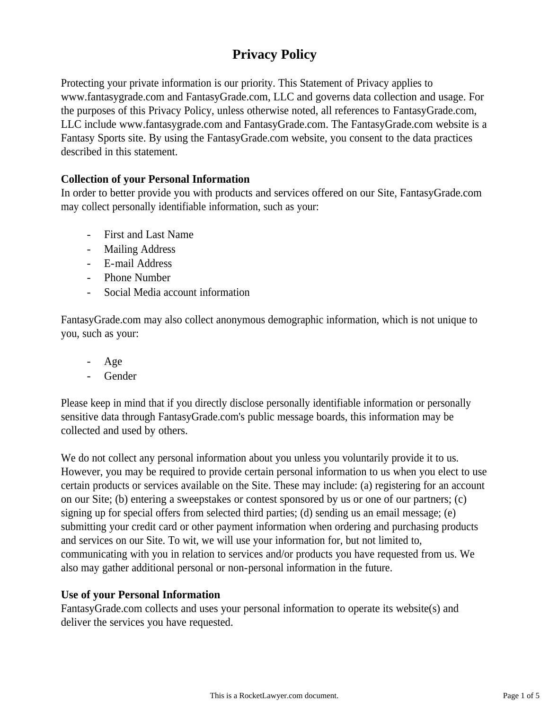# **Privacy Policy**

Protecting your private information is our priority. This Statement of Privacy applies to www.fantasygrade.com and FantasyGrade.com, LLC and governs data collection and usage. For the purposes of this Privacy Policy, unless otherwise noted, all references to FantasyGrade.com, LLC include www.fantasygrade.com and FantasyGrade.com. The FantasyGrade.com website is a Fantasy Sports site. By using the FantasyGrade.com website, you consent to the data practices described in this statement.

# **Collection of your Personal Information**

In order to better provide you with products and services offered on our Site, FantasyGrade.com may collect personally identifiable information, such as your:

- First and Last Name
- Mailing Address
- E-mail Address
- Phone Number
- Social Media account information

FantasyGrade.com may also collect anonymous demographic information, which is not unique to you, such as your:

- Age
- Gender

Please keep in mind that if you directly disclose personally identifiable information or personally sensitive data through FantasyGrade.com's public message boards, this information may be collected and used by others.

We do not collect any personal information about you unless you voluntarily provide it to us. However, you may be required to provide certain personal information to us when you elect to use certain products or services available on the Site. These may include: (a) registering for an account on our Site; (b) entering a sweepstakes or contest sponsored by us or one of our partners; (c) signing up for special offers from selected third parties; (d) sending us an email message; (e) submitting your credit card or other payment information when ordering and purchasing products and services on our Site. To wit, we will use your information for, but not limited to, communicating with you in relation to services and/or products you have requested from us. We also may gather additional personal or non-personal information in the future.

### **Use of your Personal Information**

FantasyGrade.com collects and uses your personal information to operate its website(s) and deliver the services you have requested.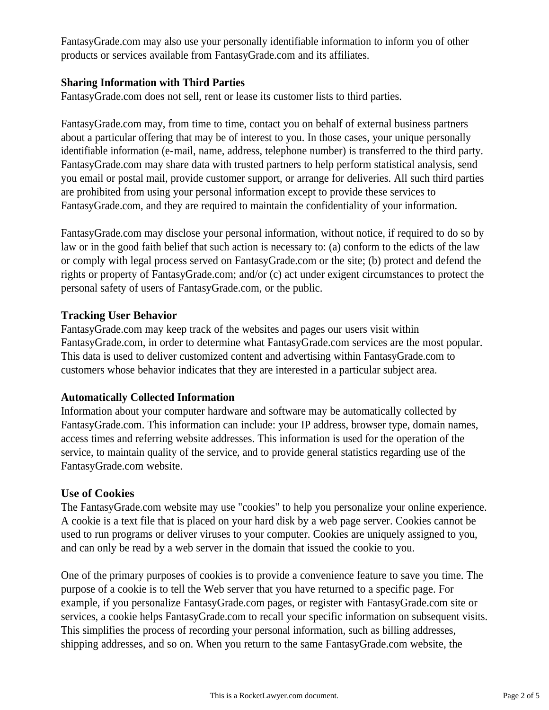FantasyGrade.com may also use your personally identifiable information to inform you of other products or services available from FantasyGrade.com and its affiliates.

### **Sharing Information with Third Parties**

FantasyGrade.com does not sell, rent or lease its customer lists to third parties.

FantasyGrade.com may, from time to time, contact you on behalf of external business partners about a particular offering that may be of interest to you. In those cases, your unique personally identifiable information (e-mail, name, address, telephone number) is transferred to the third party. FantasyGrade.com may share data with trusted partners to help perform statistical analysis, send you email or postal mail, provide customer support, or arrange for deliveries. All such third parties are prohibited from using your personal information except to provide these services to FantasyGrade.com, and they are required to maintain the confidentiality of your information.

FantasyGrade.com may disclose your personal information, without notice, if required to do so by law or in the good faith belief that such action is necessary to: (a) conform to the edicts of the law or comply with legal process served on FantasyGrade.com or the site; (b) protect and defend the rights or property of FantasyGrade.com; and/or (c) act under exigent circumstances to protect the personal safety of users of FantasyGrade.com, or the public.

### **Tracking User Behavior**

FantasyGrade.com may keep track of the websites and pages our users visit within FantasyGrade.com, in order to determine what FantasyGrade.com services are the most popular. This data is used to deliver customized content and advertising within FantasyGrade.com to customers whose behavior indicates that they are interested in a particular subject area.

# **Automatically Collected Information**

Information about your computer hardware and software may be automatically collected by FantasyGrade.com. This information can include: your IP address, browser type, domain names, access times and referring website addresses. This information is used for the operation of the service, to maintain quality of the service, and to provide general statistics regarding use of the FantasyGrade.com website.

# **Use of Cookies**

The FantasyGrade.com website may use "cookies" to help you personalize your online experience. A cookie is a text file that is placed on your hard disk by a web page server. Cookies cannot be used to run programs or deliver viruses to your computer. Cookies are uniquely assigned to you, and can only be read by a web server in the domain that issued the cookie to you.

One of the primary purposes of cookies is to provide a convenience feature to save you time. The purpose of a cookie is to tell the Web server that you have returned to a specific page. For example, if you personalize FantasyGrade.com pages, or register with FantasyGrade.com site or services, a cookie helps FantasyGrade.com to recall your specific information on subsequent visits. This simplifies the process of recording your personal information, such as billing addresses, shipping addresses, and so on. When you return to the same FantasyGrade.com website, the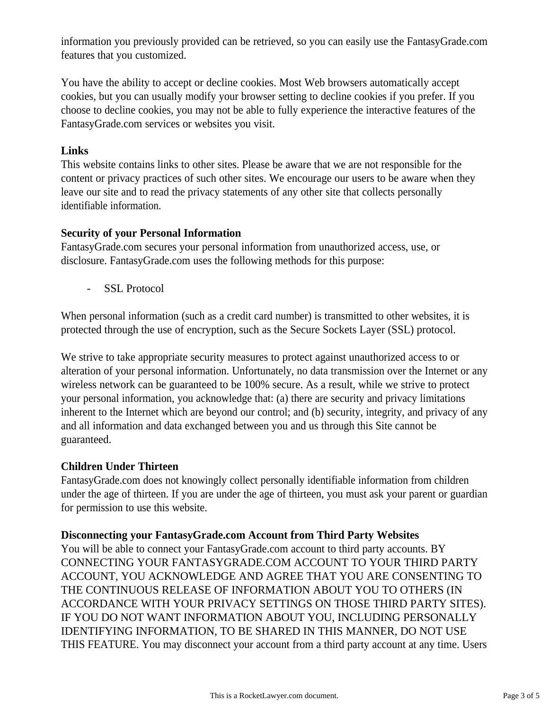information you previously provided can be retrieved, so you can easily use the FantasyGrade.com features that you customized.

You have the ability to accept or decline cookies. Most Web browsers automatically accept cookies, but you can usually modify your browser setting to decline cookies if you prefer. If you choose to decline cookies, you may not be able to fully experience the interactive features of the FantasyGrade.com services or websites you visit.

# **Links**

This website contains links to other sites. Please be aware that we are not responsible for the content or privacy practices of such other sites. We encourage our users to be aware when they leave our site and to read the privacy statements of any other site that collects personally identifiable information.

# **Security of your Personal Information**

FantasyGrade.com secures your personal information from unauthorized access, use, or disclosure. FantasyGrade.com uses the following methods for this purpose:

- SSL Protocol

When personal information (such as a credit card number) is transmitted to other websites, it is protected through the use of encryption, such as the Secure Sockets Layer (SSL) protocol.

We strive to take appropriate security measures to protect against unauthorized access to or alteration of your personal information. Unfortunately, no data transmission over the Internet or any wireless network can be guaranteed to be 100% secure. As a result, while we strive to protect your personal information, you acknowledge that: (a) there are security and privacy limitations inherent to the Internet which are beyond our control; and (b) security, integrity, and privacy of any and all information and data exchanged between you and us through this Site cannot be guaranteed.

# **Children Under Thirteen**

FantasyGrade.com does not knowingly collect personally identifiable information from children under the age of thirteen. If you are under the age of thirteen, you must ask your parent or guardian for permission to use this website.

# **Disconnecting your FantasyGrade.com Account from Third Party Websites**

You will be able to connect your FantasyGrade.com account to third party accounts. BY CONNECTING YOUR FANTASYGRADE.COM ACCOUNT TO YOUR THIRD PARTY ACCOUNT, YOU ACKNOWLEDGE AND AGREE THAT YOU ARE CONSENTING TO THE CONTINUOUS RELEASE OF INFORMATION ABOUT YOU TO OTHERS (IN ACCORDANCE WITH YOUR PRIVACY SETTINGS ON THOSE THIRD PARTY SITES). IF YOU DO NOT WANT INFORMATION ABOUT YOU, INCLUDING PERSONALLY IDENTIFYING INFORMATION, TO BE SHARED IN THIS MANNER, DO NOT USE THIS FEATURE. You may disconnect your account from a third party account at any time. Users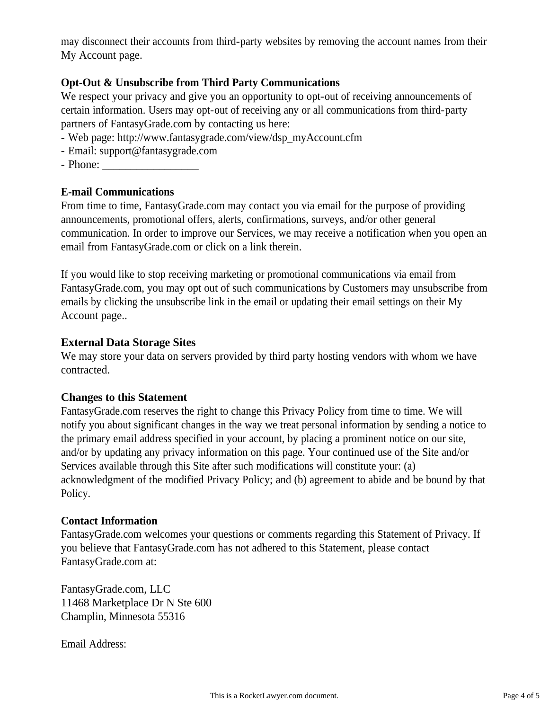may disconnect their accounts from third-party websites by removing the account names from their My Account page.

# **Opt-Out & Unsubscribe from Third Party Communications**

We respect your privacy and give you an opportunity to opt-out of receiving announcements of certain information. Users may opt-out of receiving any or all communications from third-party partners of FantasyGrade.com by contacting us here:

- Web page: http://www.fantasygrade.com/view/dsp\_myAccount.cfm
- Email: support@fantasygrade.com
- Phone:

### **E-mail Communications**

From time to time, FantasyGrade.com may contact you via email for the purpose of providing announcements, promotional offers, alerts, confirmations, surveys, and/or other general communication. In order to improve our Services, we may receive a notification when you open an email from FantasyGrade.com or click on a link therein.

If you would like to stop receiving marketing or promotional communications via email from FantasyGrade.com, you may opt out of such communications by Customers may unsubscribe from emails by clicking the unsubscribe link in the email or updating their email settings on their My Account page..

### **External Data Storage Sites**

We may store your data on servers provided by third party hosting vendors with whom we have contracted.

### **Changes to this Statement**

FantasyGrade.com reserves the right to change this Privacy Policy from time to time. We will notify you about significant changes in the way we treat personal information by sending a notice to the primary email address specified in your account, by placing a prominent notice on our site, and/or by updating any privacy information on this page. Your continued use of the Site and/or Services available through this Site after such modifications will constitute your: (a) acknowledgment of the modified Privacy Policy; and (b) agreement to abide and be bound by that Policy.

### **Contact Information**

FantasyGrade.com welcomes your questions or comments regarding this Statement of Privacy. If you believe that FantasyGrade.com has not adhered to this Statement, please contact FantasyGrade.com at:

FantasyGrade.com, LLC 11468 Marketplace Dr N Ste 600 Champlin, Minnesota 55316

Email Address: